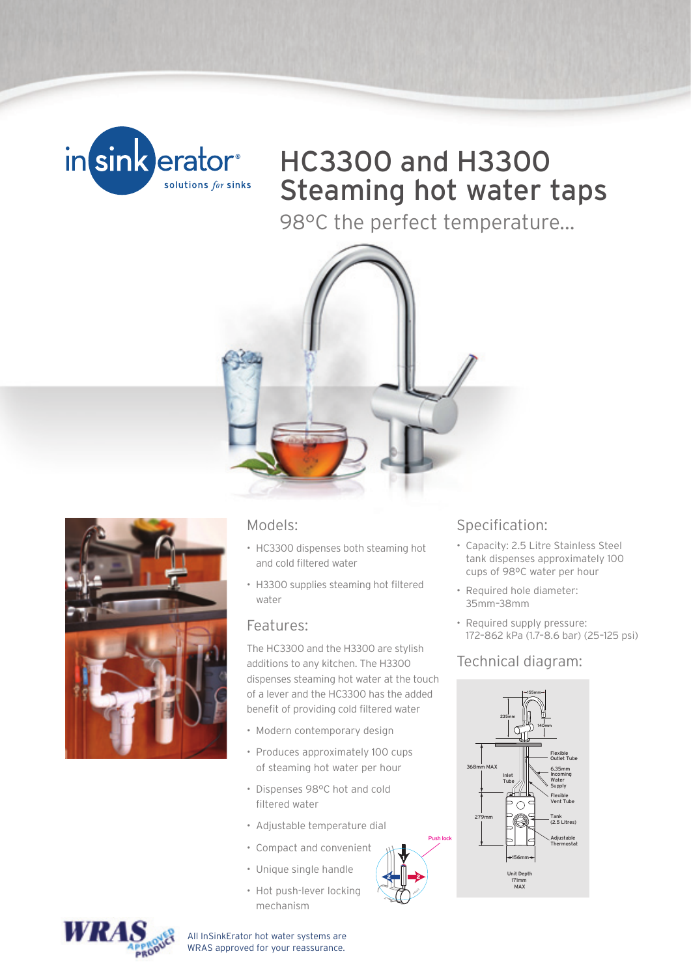

## HC3300 and H3300 Steaming hot water taps

98°C the perfect temperature...





#### Models:

- HC3300 dispenses both steaming hot and cold filtered water
- H3300 supplies steaming hot filtered water

#### Features:

The HC3300 and the H3300 are stylish additions to any kitchen. The H3300 dispenses steaming hot water at the touch of a lever and the HC3300 has the added benefit of providing cold filtered water

- Modern contemporary design
- Produces approximately 100 cups of steaming hot water per hour
- Dispenses 98°C hot and cold filtered water
- Adjustable temperature dial
- Compact and convenient

Push lock

- Unique single handle
- Hot push-lever locking mechanism

### Specification:

- Capacity: 2.5 Litre Stainless Steel tank dispenses approximately 100 cups of 98ºC water per hour
- Required hole diameter: 35mm–38mm
- Required supply pressure: 172–862 kPa (1.7–8.6 bar) (25–125 psi)

### Technical diagram:





 All InSinkErator hot water systems are WRAS approved for your reassurance.